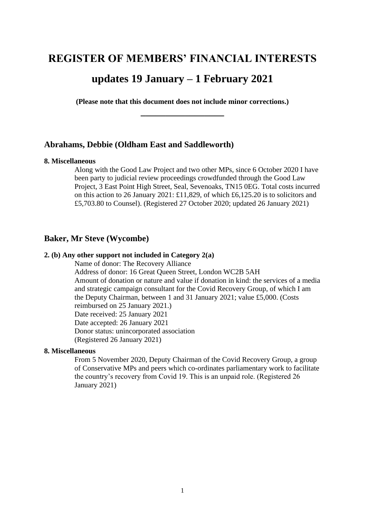# **REGISTER OF MEMBERS' FINANCIAL INTERESTS**

# **updates 19 January – 1 February 2021**

**(Please note that this document does not include minor corrections.) \_\_\_\_\_\_\_\_\_\_\_\_\_\_\_\_\_**

# **Abrahams, Debbie (Oldham East and Saddleworth)**

#### **8. Miscellaneous**

Along with the Good Law Project and two other MPs, since 6 October 2020 I have been party to judicial review proceedings crowdfunded through the Good Law Project, 3 East Point High Street, Seal, Sevenoaks, TN15 0EG. Total costs incurred on this action to 26 January 2021: £11,829, of which £6,125.20 is to solicitors and £5,703.80 to Counsel). (Registered 27 October 2020; updated 26 January 2021)

# **Baker, Mr Steve (Wycombe)**

### **2. (b) Any other support not included in Category 2(a)**

Name of donor: The Recovery Alliance Address of donor: 16 Great Queen Street, London WC2B 5AH Amount of donation or nature and value if donation in kind: the services of a media and strategic campaign consultant for the Covid Recovery Group, of which I am the Deputy Chairman, between 1 and 31 January 2021; value £5,000. (Costs reimbursed on 25 January 2021.) Date received: 25 January 2021 Date accepted: 26 January 2021 Donor status: unincorporated association (Registered 26 January 2021)

### **8. Miscellaneous**

From 5 November 2020, Deputy Chairman of the Covid Recovery Group, a group of Conservative MPs and peers which co-ordinates parliamentary work to facilitate the country's recovery from Covid 19. This is an unpaid role. (Registered 26 January 2021)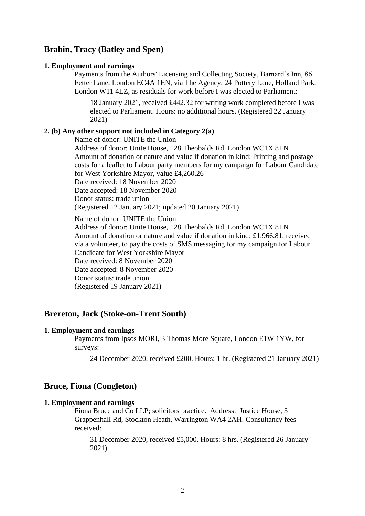# **Brabin, Tracy (Batley and Spen)**

#### **1. Employment and earnings**

Payments from the Authors' Licensing and Collecting Society, Barnard's Inn, 86 Fetter Lane, London EC4A 1EN, via The Agency, 24 Pottery Lane, Holland Park, London W11 4LZ, as residuals for work before I was elected to Parliament:

18 January 2021, received £442.32 for writing work completed before I was elected to Parliament. Hours: no additional hours. (Registered 22 January 2021)

## **2. (b) Any other support not included in Category 2(a)**

Name of donor: UNITE the Union

Address of donor: Unite House, 128 Theobalds Rd, London WC1X 8TN Amount of donation or nature and value if donation in kind: Printing and postage costs for a leaflet to Labour party members for my campaign for Labour Candidate for West Yorkshire Mayor, value £4,260.26

Date received: 18 November 2020

Date accepted: 18 November 2020

Donor status: trade union

(Registered 12 January 2021; updated 20 January 2021)

Name of donor: UNITE the Union

Address of donor: Unite House, 128 Theobalds Rd, London WC1X 8TN Amount of donation or nature and value if donation in kind: £1,966.81, received via a volunteer, to pay the costs of SMS messaging for my campaign for Labour Candidate for West Yorkshire Mayor Date received: 8 November 2020 Date accepted: 8 November 2020 Donor status: trade union (Registered 19 January 2021)

# **Brereton, Jack (Stoke-on-Trent South)**

#### **1. Employment and earnings**

Payments from Ipsos MORI, 3 Thomas More Square, London E1W 1YW, for surveys:

24 December 2020, received £200. Hours: 1 hr. (Registered 21 January 2021)

# **Bruce, Fiona (Congleton)**

#### **1. Employment and earnings**

Fiona Bruce and Co LLP; solicitors practice. Address: Justice House, 3 Grappenhall Rd, Stockton Heath, Warrington WA4 2AH. Consultancy fees received:

31 December 2020, received £5,000. Hours: 8 hrs. (Registered 26 January 2021)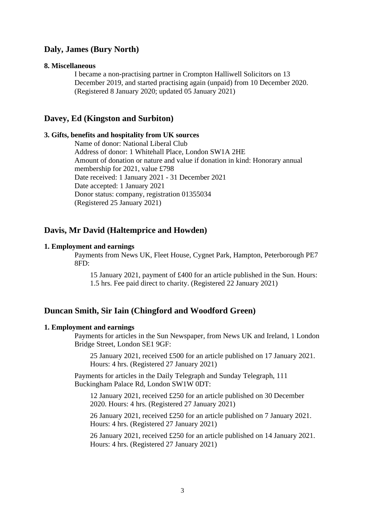# **Daly, James (Bury North)**

#### **8. Miscellaneous**

I became a non-practising partner in Crompton Halliwell Solicitors on 13 December 2019, and started practising again (unpaid) from 10 December 2020. (Registered 8 January 2020; updated 05 January 2021)

# **Davey, Ed (Kingston and Surbiton)**

#### **3. Gifts, benefits and hospitality from UK sources**

Name of donor: National Liberal Club Address of donor: 1 Whitehall Place, London SW1A 2HE Amount of donation or nature and value if donation in kind: Honorary annual membership for 2021, value £798 Date received: 1 January 2021 - 31 December 2021 Date accepted: 1 January 2021 Donor status: company, registration 01355034 (Registered 25 January 2021)

### **Davis, Mr David (Haltemprice and Howden)**

### **1. Employment and earnings**

Payments from News UK, Fleet House, Cygnet Park, Hampton, Peterborough PE7 8FD:

15 January 2021, payment of £400 for an article published in the Sun. Hours: 1.5 hrs. Fee paid direct to charity. (Registered 22 January 2021)

### **Duncan Smith, Sir Iain (Chingford and Woodford Green)**

### **1. Employment and earnings**

Payments for articles in the Sun Newspaper, from News UK and Ireland, 1 London Bridge Street, London SE1 9GF:

25 January 2021, received £500 for an article published on 17 January 2021. Hours: 4 hrs. (Registered 27 January 2021)

Payments for articles in the Daily Telegraph and Sunday Telegraph, 111 Buckingham Palace Rd, London SW1W 0DT:

12 January 2021, received £250 for an article published on 30 December 2020. Hours: 4 hrs. (Registered 27 January 2021)

26 January 2021, received £250 for an article published on 7 January 2021. Hours: 4 hrs. (Registered 27 January 2021)

26 January 2021, received £250 for an article published on 14 January 2021. Hours: 4 hrs. (Registered 27 January 2021)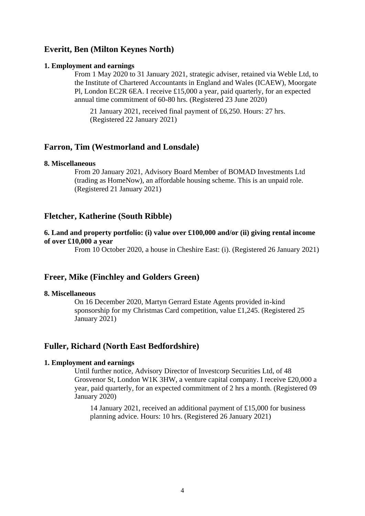# **Everitt, Ben (Milton Keynes North)**

#### **1. Employment and earnings**

From 1 May 2020 to 31 January 2021, strategic adviser, retained via Weble Ltd, to the Institute of Chartered Accountants in England and Wales (ICAEW), Moorgate Pl, London EC2R 6EA. I receive £15,000 a year, paid quarterly, for an expected annual time commitment of 60-80 hrs. (Registered 23 June 2020)

21 January 2021, received final payment of £6,250. Hours: 27 hrs. (Registered 22 January 2021)

### **Farron, Tim (Westmorland and Lonsdale)**

#### **8. Miscellaneous**

From 20 January 2021, Advisory Board Member of BOMAD Investments Ltd (trading as HomeNow), an affordable housing scheme. This is an unpaid role. (Registered 21 January 2021)

### **Fletcher, Katherine (South Ribble)**

### **6. Land and property portfolio: (i) value over £100,000 and/or (ii) giving rental income of over £10,000 a year**

From 10 October 2020, a house in Cheshire East: (i). (Registered 26 January 2021)

### **Freer, Mike (Finchley and Golders Green)**

### **8. Miscellaneous**

On 16 December 2020, Martyn Gerrard Estate Agents provided in-kind sponsorship for my Christmas Card competition, value £1,245. (Registered 25 January 2021)

# **Fuller, Richard (North East Bedfordshire)**

### **1. Employment and earnings**

Until further notice, Advisory Director of Investcorp Securities Ltd, of 48 Grosvenor St, London W1K 3HW, a venture capital company. I receive £20,000 a year, paid quarterly, for an expected commitment of 2 hrs a month. (Registered 09 January 2020)

14 January 2021, received an additional payment of £15,000 for business planning advice. Hours: 10 hrs. (Registered 26 January 2021)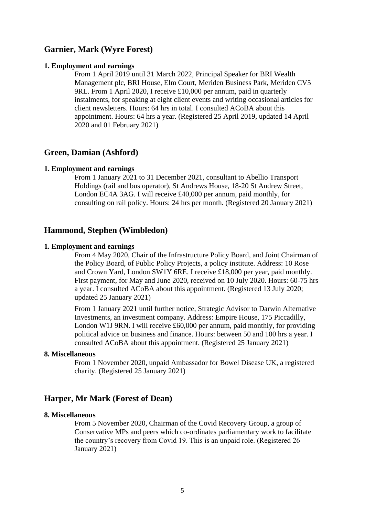## **Garnier, Mark (Wyre Forest)**

#### **1. Employment and earnings**

From 1 April 2019 until 31 March 2022, Principal Speaker for BRI Wealth Management plc, BRI House, Elm Court, Meriden Business Park, Meriden CV5 9RL. From 1 April 2020, I receive £10,000 per annum, paid in quarterly instalments, for speaking at eight client events and writing occasional articles for client newsletters. Hours: 64 hrs in total. I consulted ACoBA about this appointment. Hours: 64 hrs a year. (Registered 25 April 2019, updated 14 April 2020 and 01 February 2021)

### **Green, Damian (Ashford)**

#### **1. Employment and earnings**

From 1 January 2021 to 31 December 2021, consultant to Abellio Transport Holdings (rail and bus operator), St Andrews House, 18-20 St Andrew Street, London EC4A 3AG. I will receive £40,000 per annum, paid monthly, for consulting on rail policy. Hours: 24 hrs per month. (Registered 20 January 2021)

### **Hammond, Stephen (Wimbledon)**

#### **1. Employment and earnings**

From 4 May 2020, Chair of the Infrastructure Policy Board, and Joint Chairman of the Policy Board, of Public Policy Projects, a policy institute. Address: 10 Rose and Crown Yard, London SW1Y 6RE. I receive £18,000 per year, paid monthly. First payment, for May and June 2020, received on 10 July 2020. Hours: 60-75 hrs a year. I consulted ACoBA about this appointment. (Registered 13 July 2020; updated 25 January 2021)

From 1 January 2021 until further notice, Strategic Advisor to Darwin Alternative Investments, an investment company. Address: Empire House, 175 Piccadilly, London W1J 9RN. I will receive £60,000 per annum, paid monthly, for providing political advice on business and finance. Hours: between 50 and 100 hrs a year. I consulted ACoBA about this appointment. (Registered 25 January 2021)

### **8. Miscellaneous**

From 1 November 2020, unpaid Ambassador for Bowel Disease UK, a registered charity. (Registered 25 January 2021)

### **Harper, Mr Mark (Forest of Dean)**

#### **8. Miscellaneous**

From 5 November 2020, Chairman of the Covid Recovery Group, a group of Conservative MPs and peers which co-ordinates parliamentary work to facilitate the country's recovery from Covid 19. This is an unpaid role. (Registered 26 January 2021)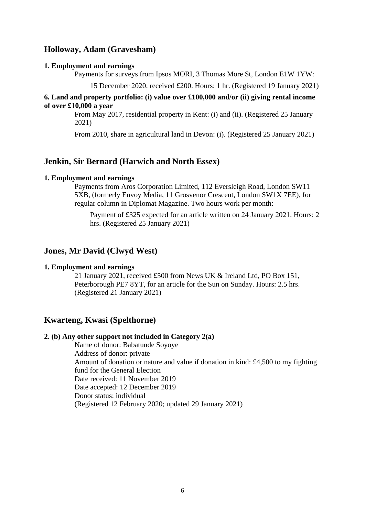# **Holloway, Adam (Gravesham)**

#### **1. Employment and earnings**

Payments for surveys from Ipsos MORI, 3 Thomas More St, London E1W 1YW:

15 December 2020, received £200. Hours: 1 hr. (Registered 19 January 2021)

### **6. Land and property portfolio: (i) value over £100,000 and/or (ii) giving rental income of over £10,000 a year**

From May 2017, residential property in Kent: (i) and (ii). (Registered 25 January 2021)

From 2010, share in agricultural land in Devon: (i). (Registered 25 January 2021)

### **Jenkin, Sir Bernard (Harwich and North Essex)**

#### **1. Employment and earnings**

Payments from Aros Corporation Limited, 112 Eversleigh Road, London SW11 5XB, (formerly Envoy Media, 11 Grosvenor Crescent, London SW1X 7EE), for regular column in Diplomat Magazine. Two hours work per month:

Payment of £325 expected for an article written on 24 January 2021. Hours: 2 hrs. (Registered 25 January 2021)

### **Jones, Mr David (Clwyd West)**

### **1. Employment and earnings**

21 January 2021, received £500 from News UK & Ireland Ltd, PO Box 151, Peterborough PE7 8YT, for an article for the Sun on Sunday. Hours: 2.5 hrs. (Registered 21 January 2021)

# **Kwarteng, Kwasi (Spelthorne)**

### **2. (b) Any other support not included in Category 2(a)**

Name of donor: Babatunde Soyoye Address of donor: private Amount of donation or nature and value if donation in kind: £4,500 to my fighting fund for the General Election Date received: 11 November 2019 Date accepted: 12 December 2019 Donor status: individual (Registered 12 February 2020; updated 29 January 2021)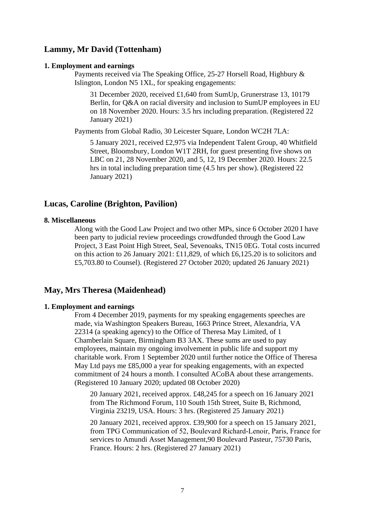# **Lammy, Mr David (Tottenham)**

#### **1. Employment and earnings**

Payments received via The Speaking Office, 25-27 Horsell Road, Highbury & Islington, London N5 1XL, for speaking engagements:

31 December 2020, received £1,640 from SumUp, Grunerstrase 13, 10179 Berlin, for O&A on racial diversity and inclusion to SumUP employees in EU on 18 November 2020. Hours: 3.5 hrs including preparation. (Registered 22 January 2021)

Payments from Global Radio, 30 Leicester Square, London WC2H 7LA:

5 January 2021, received £2,975 via Independent Talent Group, 40 Whitfield Street, Bloomsbury, London W1T 2RH, for guest presenting five shows on LBC on 21, 28 November 2020, and 5, 12, 19 December 2020. Hours: 22.5 hrs in total including preparation time (4.5 hrs per show). (Registered 22 January 2021)

### **Lucas, Caroline (Brighton, Pavilion)**

### **8. Miscellaneous**

Along with the Good Law Project and two other MPs, since 6 October 2020 I have been party to judicial review proceedings crowdfunded through the Good Law Project, 3 East Point High Street, Seal, Sevenoaks, TN15 0EG. Total costs incurred on this action to 26 January 2021: £11,829, of which £6,125.20 is to solicitors and £5,703.80 to Counsel). (Registered 27 October 2020; updated 26 January 2021)

### **May, Mrs Theresa (Maidenhead)**

### **1. Employment and earnings**

From 4 December 2019, payments for my speaking engagements speeches are made, via Washington Speakers Bureau, 1663 Prince Street, Alexandria, VA 22314 (a speaking agency) to the Office of Theresa May Limited, of 1 Chamberlain Square, Birmingham B3 3AX. These sums are used to pay employees, maintain my ongoing involvement in public life and support my charitable work. From 1 September 2020 until further notice the Office of Theresa May Ltd pays me £85,000 a year for speaking engagements, with an expected commitment of 24 hours a month. I consulted ACoBA about these arrangements. (Registered 10 January 2020; updated 08 October 2020)

20 January 2021, received approx. £48,245 for a speech on 16 January 2021 from The Richmond Forum, 110 South 15th Street, Suite B, Richmond, Virginia 23219, USA. Hours: 3 hrs. (Registered 25 January 2021)

20 January 2021, received approx. £39,900 for a speech on 15 January 2021, from TPG Communication of 52, Boulevard Richard‐Lenoir, Paris, France for services to Amundi Asset Management,90 Boulevard Pasteur, 75730 Paris, France. Hours: 2 hrs. (Registered 27 January 2021)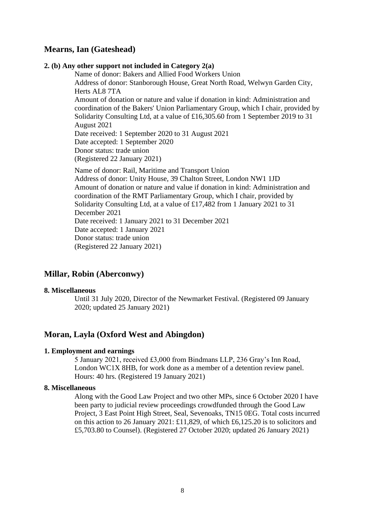# **Mearns, Ian (Gateshead)**

### **2. (b) Any other support not included in Category 2(a)**

Name of donor: Bakers and Allied Food Workers Union Address of donor: Stanborough House, Great North Road, Welwyn Garden City, Herts AL8 7TA Amount of donation or nature and value if donation in kind: Administration and coordination of the Bakers' Union Parliamentary Group, which I chair, provided by Solidarity Consulting Ltd, at a value of £16,305.60 from 1 September 2019 to 31 August 2021 Date received: 1 September 2020 to 31 August 2021 Date accepted: 1 September 2020 Donor status: trade union (Registered 22 January 2021) Name of donor: Rail, Maritime and Transport Union Address of donor: Unity House, 39 Chalton Street, London NW1 1JD

Amount of donation or nature and value if donation in kind: Administration and coordination of the RMT Parliamentary Group, which I chair, provided by Solidarity Consulting Ltd, at a value of £17,482 from 1 January 2021 to 31 December 2021 Date received: 1 January 2021 to 31 December 2021 Date accepted: 1 January 2021 Donor status: trade union (Registered 22 January 2021)

# **Millar, Robin (Aberconwy)**

#### **8. Miscellaneous**

Until 31 July 2020, Director of the Newmarket Festival. (Registered 09 January 2020; updated 25 January 2021)

# **Moran, Layla (Oxford West and Abingdon)**

#### **1. Employment and earnings**

5 January 2021, received £3,000 from Bindmans LLP, 236 Gray's Inn Road, London WC1X 8HB, for work done as a member of a detention review panel. Hours: 40 hrs. (Registered 19 January 2021)

### **8. Miscellaneous**

Along with the Good Law Project and two other MPs, since 6 October 2020 I have been party to judicial review proceedings crowdfunded through the Good Law Project, 3 East Point High Street, Seal, Sevenoaks, TN15 0EG. Total costs incurred on this action to 26 January 2021: £11,829, of which £6,125.20 is to solicitors and £5,703.80 to Counsel). (Registered 27 October 2020; updated 26 January 2021)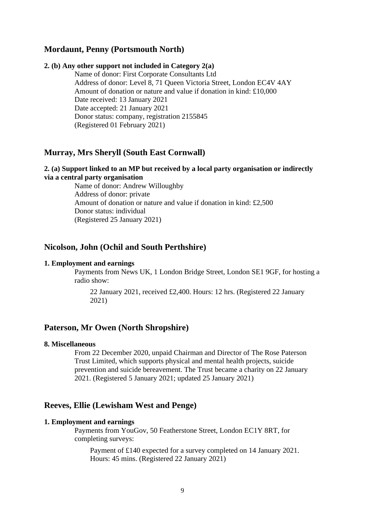# **Mordaunt, Penny (Portsmouth North)**

#### **2. (b) Any other support not included in Category 2(a)**

Name of donor: First Corporate Consultants Ltd Address of donor: Level 8, 71 Queen Victoria Street, London EC4V 4AY Amount of donation or nature and value if donation in kind: £10,000 Date received: 13 January 2021 Date accepted: 21 January 2021 Donor status: company, registration 2155845 (Registered 01 February 2021)

### **Murray, Mrs Sheryll (South East Cornwall)**

### **2. (a) Support linked to an MP but received by a local party organisation or indirectly via a central party organisation**

Name of donor: Andrew Willoughby Address of donor: private Amount of donation or nature and value if donation in kind: £2,500 Donor status: individual (Registered 25 January 2021)

### **Nicolson, John (Ochil and South Perthshire)**

#### **1. Employment and earnings**

Payments from News UK, 1 London Bridge Street, London SE1 9GF, for hosting a radio show:

22 January 2021, received £2,400. Hours: 12 hrs. (Registered 22 January 2021)

# **Paterson, Mr Owen (North Shropshire)**

#### **8. Miscellaneous**

From 22 December 2020, unpaid Chairman and Director of The Rose Paterson Trust Limited, which supports physical and mental health projects, suicide prevention and suicide bereavement. The Trust became a charity on 22 January 2021. (Registered 5 January 2021; updated 25 January 2021)

### **Reeves, Ellie (Lewisham West and Penge)**

### **1. Employment and earnings**

Payments from YouGov, 50 Featherstone Street, London EC1Y 8RT, for completing surveys:

Payment of £140 expected for a survey completed on 14 January 2021. Hours: 45 mins. (Registered 22 January 2021)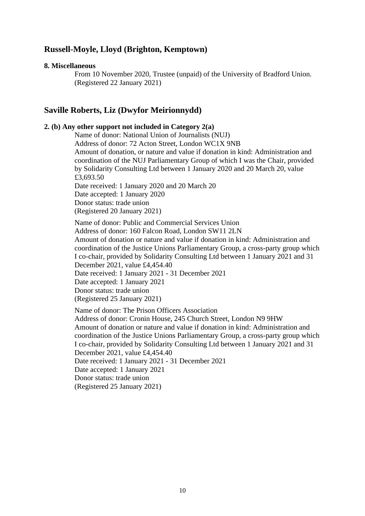# **Russell-Moyle, Lloyd (Brighton, Kemptown)**

#### **8. Miscellaneous**

From 10 November 2020, Trustee (unpaid) of the University of Bradford Union. (Registered 22 January 2021)

### **Saville Roberts, Liz (Dwyfor Meirionnydd)**

### **2. (b) Any other support not included in Category 2(a)**

Name of donor: National Union of Journalists (NUJ) Address of donor: 72 Acton Street, London WC1X 9NB Amount of donation, or nature and value if donation in kind: Administration and coordination of the NUJ Parliamentary Group of which I was the Chair, provided by Solidarity Consulting Ltd between 1 January 2020 and 20 March 20, value £3,693.50 Date received: 1 January 2020 and 20 March 20 Date accepted: 1 January 2020 Donor status: trade union (Registered 20 January 2021) Name of donor: Public and Commercial Services Union Address of donor: 160 Falcon Road, London SW11 2LN Amount of donation or nature and value if donation in kind: Administration and coordination of the Justice Unions Parliamentary Group, a cross-party group which I co-chair, provided by Solidarity Consulting Ltd between 1 January 2021 and 31 December 2021, value £4,454.40 Date received: 1 January 2021 - 31 December 2021 Date accepted: 1 January 2021 Donor status: trade union (Registered 25 January 2021) Name of donor: The Prison Officers Association Address of donor: Cronin House, 245 Church Street, London N9 9HW

Amount of donation or nature and value if donation in kind: Administration and coordination of the Justice Unions Parliamentary Group, a cross-party group which I co-chair, provided by Solidarity Consulting Ltd between 1 January 2021 and 31 December 2021, value £4,454.40 Date received: 1 January 2021 - 31 December 2021 Date accepted: 1 January 2021 Donor status: trade union (Registered 25 January 2021)